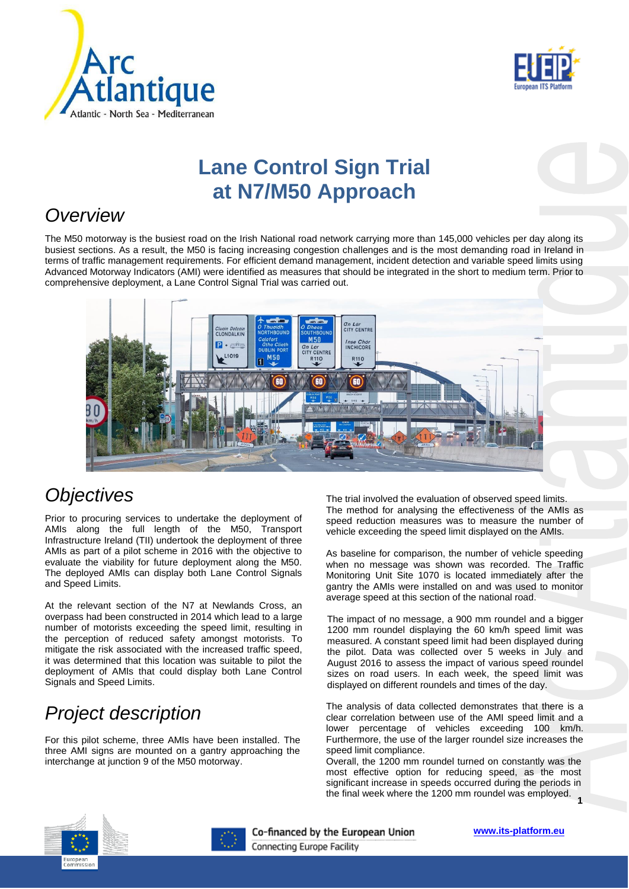



# **Lane Control Sign Trial at N7/M50 Approach**

#### *Overview*

The M50 motorway is the busiest road on the Irish National road network carrying more than 145,000 vehicles per day along its busiest sections. As a result, the M50 is facing increasing congestion challenges and is the most demanding road in Ireland in terms of traffic management requirements. For efficient demand management, incident detection and variable speed limits using Advanced Motorway Indicators (AMI) were identified as measures that should be integrated in the short to medium term. Prior to comprehensive deployment, a Lane Control Signal Trial was carried out.



#### *Objectives*

Prior to procuring services to undertake the deployment of AMIs along the full length of the M50, Transport Infrastructure Ireland (TII) undertook the deployment of three AMIs as part of a pilot scheme in 2016 with the objective to evaluate the viability for future deployment along the M50. The deployed AMIs can display both Lane Control Signals and Speed Limits.

At the relevant section of the N7 at Newlands Cross, an overpass had been constructed in 2014 which lead to a large number of motorists exceeding the speed limit, resulting in the perception of reduced safety amongst motorists. To mitigate the risk associated with the increased traffic speed, it was determined that this location was suitable to pilot the deployment of AMIs that could display both Lane Control Signals and Speed Limits.

## *Project description*

For this pilot scheme, three AMIs have been installed. The three AMI signs are mounted on a gantry approaching the interchange at junction 9 of the M50 motorway.

The trial involved the evaluation of observed speed limits. The method for analysing the effectiveness of the AMIs as speed reduction measures was to measure the number of vehicle exceeding the speed limit displayed on the AMIs.

As baseline for comparison, the number of vehicle speeding when no message was shown was recorded. The Traffic Monitoring Unit Site 1070 is located immediately after the gantry the AMIs were installed on and was used to monitor average speed at this section of the national road.

The impact of no message, a 900 mm roundel and a bigger 1200 mm roundel displaying the 60 km/h speed limit was measured. A constant speed limit had been displayed during the pilot. Data was collected over 5 weeks in July and August 2016 to assess the impact of various speed roundel sizes on road users. In each week, the speed limit was displayed on different roundels and times of the day.

The analysis of data collected demonstrates that there is a clear correlation between use of the AMI speed limit and a lower percentage of vehicles exceeding 100 km/h. Furthermore, the use of the larger roundel size increases the speed limit compliance.

**1** the final week where the 1200 mm roundel was employed. Overall, the 1200 mm roundel turned on constantly was the most effective option for reducing speed, as the most significant increase in speeds occurred during the periods in





Co-financed by the European Union

**[www.its-platform.eu](http://www.its-platform.eu/)**